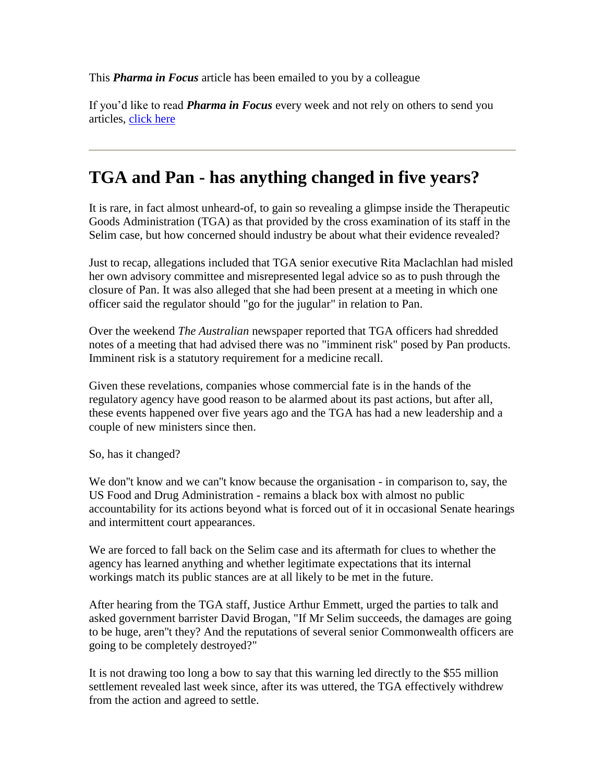This *Pharma in Focus* article has been emailed to you by a colleague

If you'd like to read *Pharma in Focus* every week and not rely on others to send you articles, [click here](http://www.pharmainfocus.com.au/signUpMain.asp)

## **TGA and Pan - has anything changed in five years?**

It is rare, in fact almost unheard-of, to gain so revealing a glimpse inside the Therapeutic Goods Administration (TGA) as that provided by the cross examination of its staff in the Selim case, but how concerned should industry be about what their evidence revealed?

Just to recap, allegations included that TGA senior executive Rita Maclachlan had misled her own advisory committee and misrepresented legal advice so as to push through the closure of Pan. It was also alleged that she had been present at a meeting in which one officer said the regulator should "go for the jugular" in relation to Pan.

Over the weekend *The Australian* newspaper reported that TGA officers had shredded notes of a meeting that had advised there was no "imminent risk" posed by Pan products. Imminent risk is a statutory requirement for a medicine recall.

Given these revelations, companies whose commercial fate is in the hands of the regulatory agency have good reason to be alarmed about its past actions, but after all, these events happened over five years ago and the TGA has had a new leadership and a couple of new ministers since then.

So, has it changed?

We don''t know and we can''t know because the organisation - in comparison to, say, the US Food and Drug Administration - remains a black box with almost no public accountability for its actions beyond what is forced out of it in occasional Senate hearings and intermittent court appearances.

We are forced to fall back on the Selim case and its aftermath for clues to whether the agency has learned anything and whether legitimate expectations that its internal workings match its public stances are at all likely to be met in the future.

After hearing from the TGA staff, Justice Arthur Emmett, urged the parties to talk and asked government barrister David Brogan, "If Mr Selim succeeds, the damages are going to be huge, aren''t they? And the reputations of several senior Commonwealth officers are going to be completely destroyed?"

It is not drawing too long a bow to say that this warning led directly to the \$55 million settlement revealed last week since, after its was uttered, the TGA effectively withdrew from the action and agreed to settle.